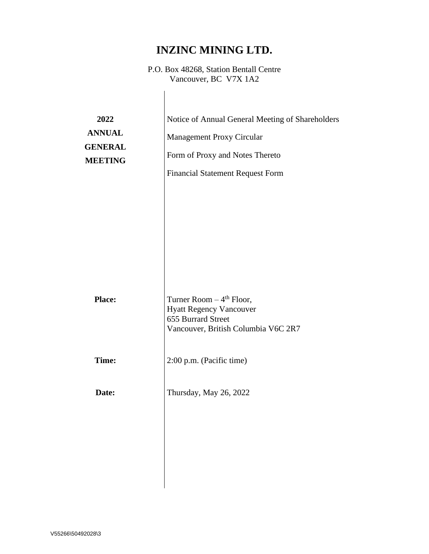P.O. Box 48268, Station Bentall Centre Vancouver, BC V7X 1A2

| 2022<br><b>ANNUAL</b><br><b>GENERAL</b><br><b>MEETING</b> | Notice of Annual General Meeting of Shareholders<br>Management Proxy Circular<br>Form of Proxy and Notes Thereto<br><b>Financial Statement Request Form</b> |
|-----------------------------------------------------------|-------------------------------------------------------------------------------------------------------------------------------------------------------------|
| <b>Place:</b>                                             | Turner Room $-4$ <sup>th</sup> Floor,<br><b>Hyatt Regency Vancouver</b><br>655 Burrard Street<br>Vancouver, British Columbia V6C 2R7                        |
| Time:                                                     | 2:00 p.m. (Pacific time)                                                                                                                                    |
| Date:                                                     | Thursday, May 26, 2022                                                                                                                                      |
|                                                           |                                                                                                                                                             |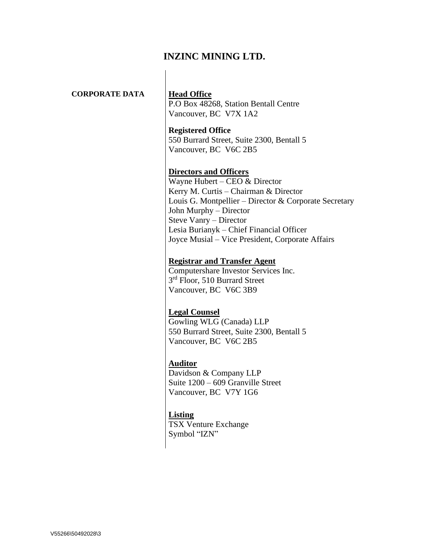# **CORPORATE DATA Head Office**

P.O Box 48268, Station Bentall Centre Vancouver, BC V7X 1A2

**Registered Office** 550 Burrard Street, Suite 2300, Bentall 5 Vancouver, BC V6C 2B5

# **Directors and Officers**

Wayne Hubert – CEO & Director Kerry M. Curtis – Chairman & Director Louis G. Montpellier – Director & Corporate Secretary John Murphy – Director Steve Vanry – Director Lesia Burianyk – Chief Financial Officer Joyce Musial – Vice President, Corporate Affairs

# **Registrar and Transfer Agent**

Computershare Investor Services Inc. 3<sup>rd</sup> Floor, 510 Burrard Street Vancouver, BC V6C 3B9

# **Legal Counsel**

Gowling WLG (Canada) LLP 550 Burrard Street, Suite 2300, Bentall 5 Vancouver, BC V6C 2B5

# **Auditor**

Davidson & Company LLP Suite 1200 – 609 Granville Street Vancouver, BC V7Y 1G6

# **Listing**

TSX Venture Exchange Symbol "IZN"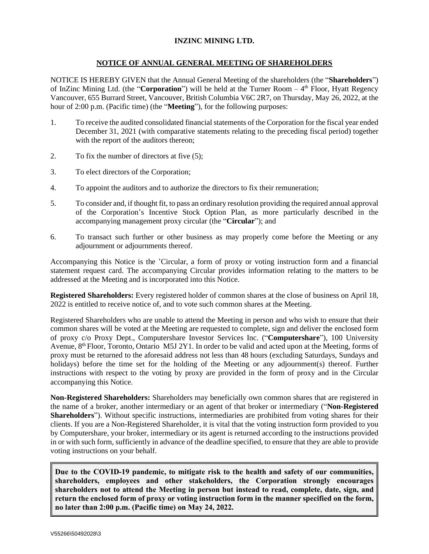# **NOTICE OF ANNUAL GENERAL MEETING OF SHAREHOLDERS**

NOTICE IS HEREBY GIVEN that the Annual General Meeting of the shareholders (the "**Shareholders**") of InZinc Mining Ltd. (the "**Corporation**") will be held at the Turner Room – 4<sup>th</sup> Floor, Hyatt Regency Vancouver, 655 Burrard Street, Vancouver, British Columbia V6C 2R7, on Thursday, May 26, 2022, at the hour of 2:00 p.m. (Pacific time) (the "**Meeting**"), for the following purposes:

- 1. To receive the audited consolidated financial statements of the Corporation for the fiscal year ended December 31, 2021 (with comparative statements relating to the preceding fiscal period) together with the report of the auditors thereon:
- 2. To fix the number of directors at five (5);
- 3. To elect directors of the Corporation;
- 4. To appoint the auditors and to authorize the directors to fix their remuneration;
- 5. To consider and, if thought fit, to pass an ordinary resolution providing the required annual approval of the Corporation's Incentive Stock Option Plan, as more particularly described in the accompanying management proxy circular (the "**Circular**"); and
- 6. To transact such further or other business as may properly come before the Meeting or any adjournment or adjournments thereof.

Accompanying this Notice is the 'Circular, a form of proxy or voting instruction form and a financial statement request card. The accompanying Circular provides information relating to the matters to be addressed at the Meeting and is incorporated into this Notice.

**Registered Shareholders:** Every registered holder of common shares at the close of business on April 18, 2022 is entitled to receive notice of, and to vote such common shares at the Meeting.

Registered Shareholders who are unable to attend the Meeting in person and who wish to ensure that their common shares will be voted at the Meeting are requested to complete, sign and deliver the enclosed form of proxy c/o Proxy Dept., Computershare Investor Services Inc. ("**Computershare**"), 100 University Avenue, 8<sup>th</sup> Floor, Toronto, Ontario M5J 2Y1. In order to be valid and acted upon at the Meeting, forms of proxy must be returned to the aforesaid address not less than 48 hours (excluding Saturdays, Sundays and holidays) before the time set for the holding of the Meeting or any adjournment(s) thereof. Further instructions with respect to the voting by proxy are provided in the form of proxy and in the Circular accompanying this Notice.

**Non-Registered Shareholders:** Shareholders may beneficially own common shares that are registered in the name of a broker, another intermediary or an agent of that broker or intermediary ("**Non-Registered Shareholders**"). Without specific instructions, intermediaries are prohibited from voting shares for their clients. If you are a Non-Registered Shareholder, it is vital that the voting instruction form provided to you by Computershare, your broker, intermediary or its agent is returned according to the instructions provided in or with such form, sufficiently in advance of the deadline specified, to ensure that they are able to provide voting instructions on your behalf.

**Due to the COVID-19 pandemic, to mitigate risk to the health and safety of our communities, shareholders, employees and other stakeholders, the Corporation strongly encourages shareholders not to attend the Meeting in person but instead to read, complete, date, sign, and return the enclosed form of proxy or voting instruction form in the manner specified on the form, no later than 2:00 p.m. (Pacific time) on May 24, 2022.**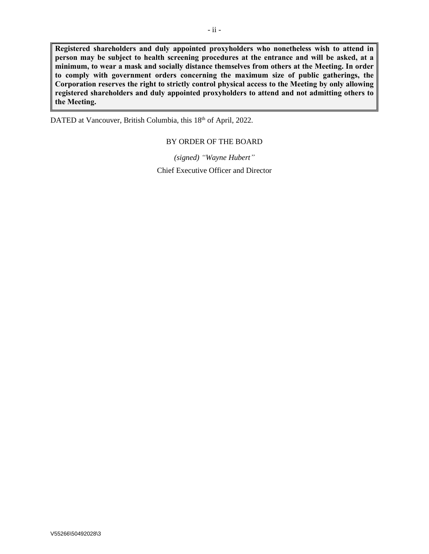**Registered shareholders and duly appointed proxyholders who nonetheless wish to attend in person may be subject to health screening procedures at the entrance and will be asked, at a minimum, to wear a mask and socially distance themselves from others at the Meeting. In order to comply with government orders concerning the maximum size of public gatherings, the Corporation reserves the right to strictly control physical access to the Meeting by only allowing registered shareholders and duly appointed proxyholders to attend and not admitting others to the Meeting.**

DATED at Vancouver, British Columbia, this 18<sup>th</sup> of April, 2022.

# BY ORDER OF THE BOARD

*(signed) "Wayne Hubert"*

Chief Executive Officer and Director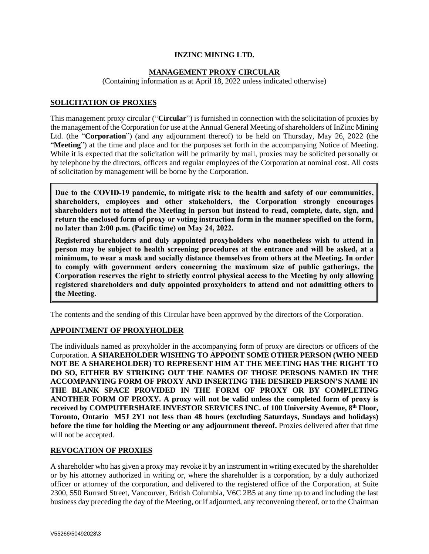# **MANAGEMENT PROXY CIRCULAR**

(Containing information as at April 18, 2022 unless indicated otherwise)

# **SOLICITATION OF PROXIES**

This management proxy circular ("**Circular**") is furnished in connection with the solicitation of proxies by the management of the Corporation for use at the Annual General Meeting of shareholders of InZinc Mining Ltd. (the "**Corporation**") (and any adjournment thereof) to be held on Thursday, May 26, 2022 (the "**Meeting**") at the time and place and for the purposes set forth in the accompanying Notice of Meeting. While it is expected that the solicitation will be primarily by mail, proxies may be solicited personally or by telephone by the directors, officers and regular employees of the Corporation at nominal cost. All costs of solicitation by management will be borne by the Corporation.

**Due to the COVID-19 pandemic, to mitigate risk to the health and safety of our communities, shareholders, employees and other stakeholders, the Corporation strongly encourages shareholders not to attend the Meeting in person but instead to read, complete, date, sign, and return the enclosed form of proxy or voting instruction form in the manner specified on the form, no later than 2:00 p.m. (Pacific time) on May 24, 2022.**

**Registered shareholders and duly appointed proxyholders who nonetheless wish to attend in person may be subject to health screening procedures at the entrance and will be asked, at a minimum, to wear a mask and socially distance themselves from others at the Meeting. In order to comply with government orders concerning the maximum size of public gatherings, the Corporation reserves the right to strictly control physical access to the Meeting by only allowing registered shareholders and duly appointed proxyholders to attend and not admitting others to the Meeting.**

The contents and the sending of this Circular have been approved by the directors of the Corporation.

# **APPOINTMENT OF PROXYHOLDER**

The individuals named as proxyholder in the accompanying form of proxy are directors or officers of the Corporation. **A SHAREHOLDER WISHING TO APPOINT SOME OTHER PERSON (WHO NEED NOT BE A SHAREHOLDER) TO REPRESENT HIM AT THE MEETING HAS THE RIGHT TO DO SO, EITHER BY STRIKING OUT THE NAMES OF THOSE PERSONS NAMED IN THE ACCOMPANYING FORM OF PROXY AND INSERTING THE DESIRED PERSON'S NAME IN THE BLANK SPACE PROVIDED IN THE FORM OF PROXY OR BY COMPLETING ANOTHER FORM OF PROXY. A proxy will not be valid unless the completed form of proxy is received by COMPUTERSHARE INVESTOR SERVICES INC. of 100 University Avenue, 8 th Floor, Toronto, Ontario M5J 2Y1 not less than 48 hours (excluding Saturdays, Sundays and holidays) before the time for holding the Meeting or any adjournment thereof.** Proxies delivered after that time will not be accepted.

# **REVOCATION OF PROXIES**

A shareholder who has given a proxy may revoke it by an instrument in writing executed by the shareholder or by his attorney authorized in writing or, where the shareholder is a corporation, by a duly authorized officer or attorney of the corporation, and delivered to the registered office of the Corporation, at Suite 2300, 550 Burrard Street, Vancouver, British Columbia, V6C 2B5 at any time up to and including the last business day preceding the day of the Meeting, or if adjourned, any reconvening thereof, or to the Chairman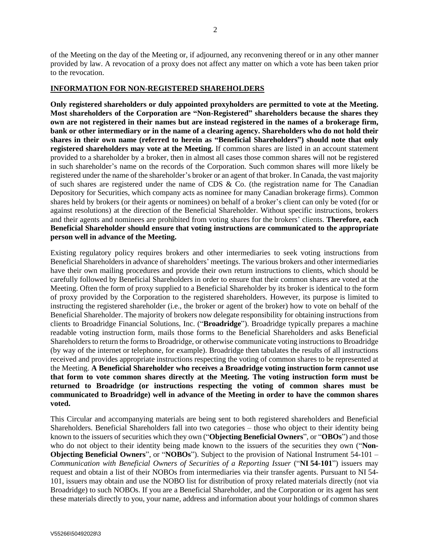of the Meeting on the day of the Meeting or, if adjourned, any reconvening thereof or in any other manner provided by law. A revocation of a proxy does not affect any matter on which a vote has been taken prior to the revocation.

# **INFORMATION FOR NON-REGISTERED SHAREHOLDERS**

**Only registered shareholders or duly appointed proxyholders are permitted to vote at the Meeting. Most shareholders of the Corporation are "Non-Registered" shareholders because the shares they own are not registered in their names but are instead registered in the names of a brokerage firm, bank or other intermediary or in the name of a clearing agency. Shareholders who do not hold their shares in their own name (referred to herein as "Beneficial Shareholders") should note that only registered shareholders may vote at the Meeting.** If common shares are listed in an account statement provided to a shareholder by a broker, then in almost all cases those common shares will not be registered in such shareholder's name on the records of the Corporation. Such common shares will more likely be registered under the name of the shareholder's broker or an agent of that broker. In Canada, the vast majority of such shares are registered under the name of CDS & Co. (the registration name for The Canadian Depository for Securities, which company acts as nominee for many Canadian brokerage firms). Common shares held by brokers (or their agents or nominees) on behalf of a broker's client can only be voted (for or against resolutions) at the direction of the Beneficial Shareholder. Without specific instructions, brokers and their agents and nominees are prohibited from voting shares for the brokers' clients. **Therefore, each Beneficial Shareholder should ensure that voting instructions are communicated to the appropriate person well in advance of the Meeting.**

Existing regulatory policy requires brokers and other intermediaries to seek voting instructions from Beneficial Shareholders in advance of shareholders' meetings. The various brokers and other intermediaries have their own mailing procedures and provide their own return instructions to clients, which should be carefully followed by Beneficial Shareholders in order to ensure that their common shares are voted at the Meeting. Often the form of proxy supplied to a Beneficial Shareholder by its broker is identical to the form of proxy provided by the Corporation to the registered shareholders. However, its purpose is limited to instructing the registered shareholder (i.e., the broker or agent of the broker) how to vote on behalf of the Beneficial Shareholder. The majority of brokers now delegate responsibility for obtaining instructions from clients to Broadridge Financial Solutions, Inc. ("**Broadridge**"). Broadridge typically prepares a machine readable voting instruction form, mails those forms to the Beneficial Shareholders and asks Beneficial Shareholders to return the forms to Broadridge, or otherwise communicate voting instructions to Broadridge (by way of the internet or telephone, for example). Broadridge then tabulates the results of all instructions received and provides appropriate instructions respecting the voting of common shares to be represented at the Meeting. **A Beneficial Shareholder who receives a Broadridge voting instruction form cannot use that form to vote common shares directly at the Meeting. The voting instruction form must be returned to Broadridge (or instructions respecting the voting of common shares must be communicated to Broadridge) well in advance of the Meeting in order to have the common shares voted.**

This Circular and accompanying materials are being sent to both registered shareholders and Beneficial Shareholders. Beneficial Shareholders fall into two categories – those who object to their identity being known to the issuers of securities which they own ("**Objecting Beneficial Owners**", or "**OBOs**") and those who do not object to their identity being made known to the issuers of the securities they own ("**Non-Objecting Beneficial Owners**", or "**NOBOs**"). Subject to the provision of National Instrument 54-101 – *Communication with Beneficial Owners of Securities of a Reporting Issuer* ("**NI 54-101**") issuers may request and obtain a list of their NOBOs from intermediaries via their transfer agents. Pursuant to NI 54- 101, issuers may obtain and use the NOBO list for distribution of proxy related materials directly (not via Broadridge) to such NOBOs. If you are a Beneficial Shareholder, and the Corporation or its agent has sent these materials directly to you, your name, address and information about your holdings of common shares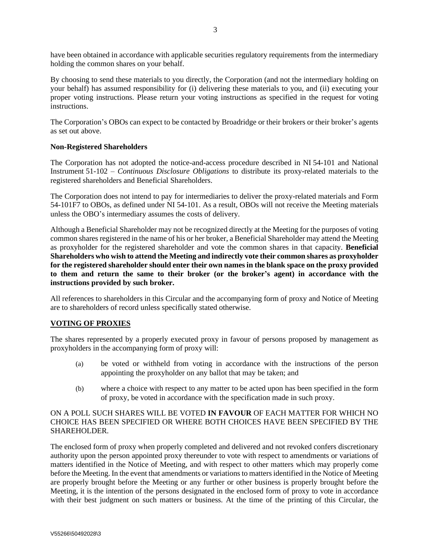have been obtained in accordance with applicable securities regulatory requirements from the intermediary holding the common shares on your behalf.

By choosing to send these materials to you directly, the Corporation (and not the intermediary holding on your behalf) has assumed responsibility for (i) delivering these materials to you, and (ii) executing your proper voting instructions. Please return your voting instructions as specified in the request for voting instructions.

The Corporation's OBOs can expect to be contacted by Broadridge or their brokers or their broker's agents as set out above.

# **Non-Registered Shareholders**

The Corporation has not adopted the notice-and-access procedure described in NI 54-101 and National Instrument 51-102 – *Continuous Disclosure Obligations* to distribute its proxy-related materials to the registered shareholders and Beneficial Shareholders.

The Corporation does not intend to pay for intermediaries to deliver the proxy-related materials and Form 54-101F7 to OBOs, as defined under NI 54-101. As a result, OBOs will not receive the Meeting materials unless the OBO's intermediary assumes the costs of delivery.

Although a Beneficial Shareholder may not be recognized directly at the Meeting for the purposes of voting common shares registered in the name of his or her broker, a Beneficial Shareholder may attend the Meeting as proxyholder for the registered shareholder and vote the common shares in that capacity. **Beneficial Shareholders who wish to attend the Meeting and indirectly vote their common shares as proxyholder for the registered shareholder should enter their own names in the blank space on the proxy provided to them and return the same to their broker (or the broker's agent) in accordance with the instructions provided by such broker.**

All references to shareholders in this Circular and the accompanying form of proxy and Notice of Meeting are to shareholders of record unless specifically stated otherwise.

# **VOTING OF PROXIES**

The shares represented by a properly executed proxy in favour of persons proposed by management as proxyholders in the accompanying form of proxy will:

- (a) be voted or withheld from voting in accordance with the instructions of the person appointing the proxyholder on any ballot that may be taken; and
- (b) where a choice with respect to any matter to be acted upon has been specified in the form of proxy, be voted in accordance with the specification made in such proxy.

# ON A POLL SUCH SHARES WILL BE VOTED **IN FAVOUR** OF EACH MATTER FOR WHICH NO CHOICE HAS BEEN SPECIFIED OR WHERE BOTH CHOICES HAVE BEEN SPECIFIED BY THE SHAREHOLDER.

The enclosed form of proxy when properly completed and delivered and not revoked confers discretionary authority upon the person appointed proxy thereunder to vote with respect to amendments or variations of matters identified in the Notice of Meeting, and with respect to other matters which may properly come before the Meeting. In the event that amendments or variations to matters identified in the Notice of Meeting are properly brought before the Meeting or any further or other business is properly brought before the Meeting, it is the intention of the persons designated in the enclosed form of proxy to vote in accordance with their best judgment on such matters or business. At the time of the printing of this Circular, the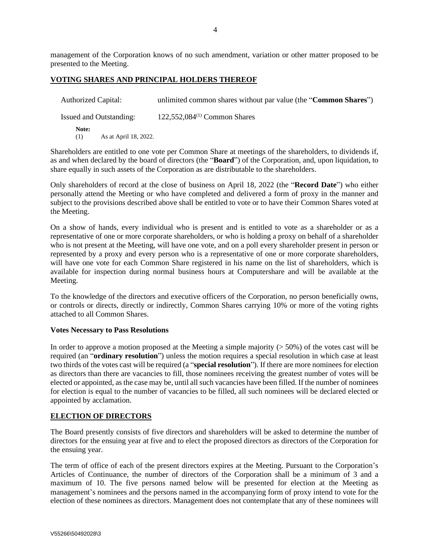management of the Corporation knows of no such amendment, variation or other matter proposed to be presented to the Meeting.

#### **VOTING SHARES AND PRINCIPAL HOLDERS THEREOF**

| <b>Authorized Capital:</b>            | unlimited common shares without par value (the " <b>Common Shares</b> ") |
|---------------------------------------|--------------------------------------------------------------------------|
| Issued and Outstanding:               | 122,552,084 <sup>(1)</sup> Common Shares                                 |
| Note:<br>As at April 18, 2022.<br>(1) |                                                                          |

Shareholders are entitled to one vote per Common Share at meetings of the shareholders, to dividends if, as and when declared by the board of directors (the "**Board**") of the Corporation, and, upon liquidation, to share equally in such assets of the Corporation as are distributable to the shareholders.

Only shareholders of record at the close of business on April 18, 2022 (the "**Record Date**") who either personally attend the Meeting or who have completed and delivered a form of proxy in the manner and subject to the provisions described above shall be entitled to vote or to have their Common Shares voted at the Meeting.

On a show of hands, every individual who is present and is entitled to vote as a shareholder or as a representative of one or more corporate shareholders, or who is holding a proxy on behalf of a shareholder who is not present at the Meeting, will have one vote, and on a poll every shareholder present in person or represented by a proxy and every person who is a representative of one or more corporate shareholders, will have one vote for each Common Share registered in his name on the list of shareholders, which is available for inspection during normal business hours at Computershare and will be available at the Meeting.

To the knowledge of the directors and executive officers of the Corporation, no person beneficially owns, or controls or directs, directly or indirectly, Common Shares carrying 10% or more of the voting rights attached to all Common Shares.

#### **Votes Necessary to Pass Resolutions**

In order to approve a motion proposed at the Meeting a simple majority  $(50\%)$  of the votes cast will be required (an "**ordinary resolution**") unless the motion requires a special resolution in which case at least two thirds of the votes cast will be required (a "**special resolution**"). If there are more nominees for election as directors than there are vacancies to fill, those nominees receiving the greatest number of votes will be elected or appointed, as the case may be, until all such vacancies have been filled. If the number of nominees for election is equal to the number of vacancies to be filled, all such nominees will be declared elected or appointed by acclamation.

#### **ELECTION OF DIRECTORS**

The Board presently consists of five directors and shareholders will be asked to determine the number of directors for the ensuing year at five and to elect the proposed directors as directors of the Corporation for the ensuing year.

The term of office of each of the present directors expires at the Meeting. Pursuant to the Corporation's Articles of Continuance, the number of directors of the Corporation shall be a minimum of 3 and a maximum of 10. The five persons named below will be presented for election at the Meeting as management's nominees and the persons named in the accompanying form of proxy intend to vote for the election of these nominees as directors. Management does not contemplate that any of these nominees will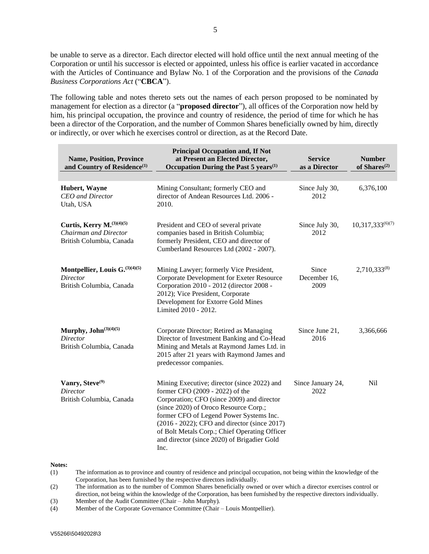be unable to serve as a director. Each director elected will hold office until the next annual meeting of the Corporation or until his successor is elected or appointed, unless his office is earlier vacated in accordance with the Articles of Continuance and Bylaw No. 1 of the Corporation and the provisions of the *Canada Business Corporations Act* ("**CBCA**").

The following table and notes thereto sets out the names of each person proposed to be nominated by management for election as a director (a "**proposed director**"), all offices of the Corporation now held by him, his principal occupation, the province and country of residence, the period of time for which he has been a director of the Corporation, and the number of Common Shares beneficially owned by him, directly or indirectly, or over which he exercises control or direction, as at the Record Date.

| <b>Name, Position, Province</b><br>and Country of Residence <sup>(1)</sup>         | <b>Principal Occupation and, If Not</b><br>at Present an Elected Director,<br>Occupation During the Past $5$ years <sup>(1)</sup>                                                                                                                                                                                                                                        | <b>Service</b><br>as a Director | <b>Number</b><br>of Shares $^{(2)}$ |
|------------------------------------------------------------------------------------|--------------------------------------------------------------------------------------------------------------------------------------------------------------------------------------------------------------------------------------------------------------------------------------------------------------------------------------------------------------------------|---------------------------------|-------------------------------------|
| Hubert, Wayne<br><b>CEO</b> and Director<br>Utah, USA                              | Mining Consultant; formerly CEO and<br>director of Andean Resources Ltd. 2006 -<br>2010.                                                                                                                                                                                                                                                                                 | Since July 30,<br>2012          | 6,376,100                           |
| Curtis, Kerry $M^{(3)(4)(5)}$<br>Chairman and Director<br>British Columbia, Canada | President and CEO of several private<br>companies based in British Columbia;<br>formerly President, CEO and director of<br>Cumberland Resources Ltd (2002 - 2007).                                                                                                                                                                                                       | Since July 30,<br>2012          | $10,317,333^{(6)(7)}$               |
| Montpellier, Louis $G^{(3)(4)(5)}$<br>Director<br>British Columbia, Canada         | Mining Lawyer; formerly Vice President,<br>Corporate Development for Exeter Resource<br>Corporation 2010 - 2012 (director 2008 -<br>2012); Vice President, Corporate<br>Development for Extorre Gold Mines<br>Limited 2010 - 2012.                                                                                                                                       | Since<br>December 16,<br>2009   | $2,710,333^{(8)}$                   |
| Murphy, John <sup>(3)(4)(5)</sup><br>Director<br>British Columbia, Canada          | Corporate Director; Retired as Managing<br>Director of Investment Banking and Co-Head<br>Mining and Metals at Raymond James Ltd. in<br>2015 after 21 years with Raymond James and<br>predecessor companies.                                                                                                                                                              | Since June 21,<br>2016          | 3,366,666                           |
| Vanry, Steve <sup>(9)</sup><br><b>Director</b><br>British Columbia, Canada         | Mining Executive; director (since 2022) and<br>former CFO (2009 - 2022) of the<br>Corporation; CFO (since 2009) and director<br>(since 2020) of Oroco Resource Corp.;<br>former CFO of Legend Power Systems Inc.<br>(2016 - 2022); CFO and director (since 2017)<br>of Bolt Metals Corp.; Chief Operating Officer<br>and director (since 2020) of Brigadier Gold<br>Inc. | Since January 24,<br>2022       | Nil                                 |

#### **Notes:**

- (1) The information as to province and country of residence and principal occupation, not being within the knowledge of the Corporation, has been furnished by the respective directors individually.
- (2) The information as to the number of Common Shares beneficially owned or over which a director exercises control or direction, not being within the knowledge of the Corporation, has been furnished by the respective directors individually.
- (3) Member of the Audit Committee (Chair John Murphy).

(4) Member of the Corporate Governance Committee (Chair – Louis Montpellier).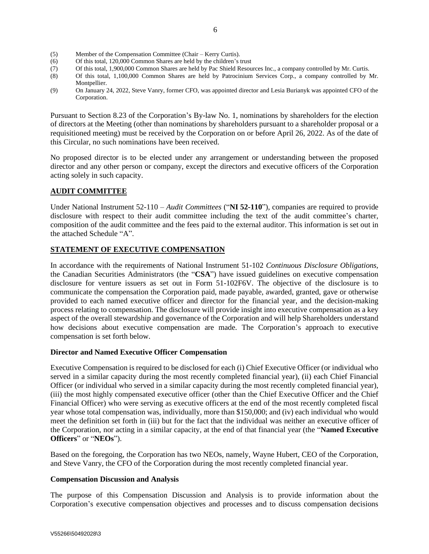- (5) Member of the Compensation Committee (Chair Kerry Curtis).
- (6) Of this total, 120,000 Common Shares are held by the children's trust
- (7) Of this total, 1,900,000 Common Shares are held by Pac Shield Resources Inc., a company controlled by Mr. Curtis.
- (8) Of this total, 1,100,000 Common Shares are held by Patrocinium Services Corp., a company controlled by Mr. Montpellier.
- (9) On January 24, 2022, Steve Vanry, former CFO, was appointed director and Lesia Burianyk was appointed CFO of the Corporation.

Pursuant to Section 8.23 of the Corporation's By-law No. 1, nominations by shareholders for the election of directors at the Meeting (other than nominations by shareholders pursuant to a shareholder proposal or a requisitioned meeting) must be received by the Corporation on or before April 26, 2022. As of the date of this Circular, no such nominations have been received.

No proposed director is to be elected under any arrangement or understanding between the proposed director and any other person or company, except the directors and executive officers of the Corporation acting solely in such capacity.

# **AUDIT COMMITTEE**

Under National Instrument 52-110 – *Audit Committees* ("**NI 52-110**"), companies are required to provide disclosure with respect to their audit committee including the text of the audit committee's charter, composition of the audit committee and the fees paid to the external auditor. This information is set out in the attached Schedule "A".

# **STATEMENT OF EXECUTIVE COMPENSATION**

In accordance with the requirements of National Instrument 51-102 *Continuous Disclosure Obligations,* the Canadian Securities Administrators (the "**CSA**") have issued guidelines on executive compensation disclosure for venture issuers as set out in Form 51-102F6V. The objective of the disclosure is to communicate the compensation the Corporation paid, made payable, awarded, granted, gave or otherwise provided to each named executive officer and director for the financial year, and the decision-making process relating to compensation. The disclosure will provide insight into executive compensation as a key aspect of the overall stewardship and governance of the Corporation and will help Shareholders understand how decisions about executive compensation are made. The Corporation's approach to executive compensation is set forth below.

#### **Director and Named Executive Officer Compensation**

Executive Compensation is required to be disclosed for each (i) Chief Executive Officer (or individual who served in a similar capacity during the most recently completed financial year), (ii) each Chief Financial Officer (or individual who served in a similar capacity during the most recently completed financial year), (iii) the most highly compensated executive officer (other than the Chief Executive Officer and the Chief Financial Officer) who were serving as executive officers at the end of the most recently completed fiscal year whose total compensation was, individually, more than \$150,000; and (iv) each individual who would meet the definition set forth in (iii) but for the fact that the individual was neither an executive officer of the Corporation, nor acting in a similar capacity, at the end of that financial year (the "**Named Executive Officers**" or "**NEOs**").

Based on the foregoing, the Corporation has two NEOs, namely, Wayne Hubert, CEO of the Corporation, and Steve Vanry, the CFO of the Corporation during the most recently completed financial year.

#### **Compensation Discussion and Analysis**

The purpose of this Compensation Discussion and Analysis is to provide information about the Corporation's executive compensation objectives and processes and to discuss compensation decisions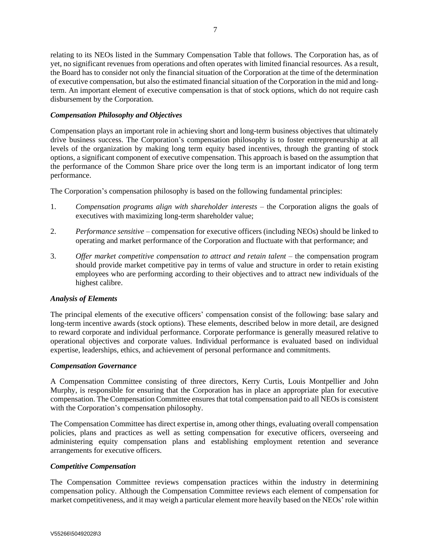relating to its NEOs listed in the Summary Compensation Table that follows. The Corporation has, as of yet, no significant revenues from operations and often operates with limited financial resources. As a result, the Board has to consider not only the financial situation of the Corporation at the time of the determination of executive compensation, but also the estimated financial situation of the Corporation in the mid and longterm. An important element of executive compensation is that of stock options, which do not require cash disbursement by the Corporation.

# *Compensation Philosophy and Objectives*

Compensation plays an important role in achieving short and long-term business objectives that ultimately drive business success. The Corporation's compensation philosophy is to foster entrepreneurship at all levels of the organization by making long term equity based incentives, through the granting of stock options, a significant component of executive compensation. This approach is based on the assumption that the performance of the Common Share price over the long term is an important indicator of long term performance.

The Corporation's compensation philosophy is based on the following fundamental principles:

- 1. *Compensation programs align with shareholder interests* the Corporation aligns the goals of executives with maximizing long-term shareholder value;
- 2. *Performance sensitive* compensation for executive officers (including NEOs) should be linked to operating and market performance of the Corporation and fluctuate with that performance; and
- 3. *Offer market competitive compensation to attract and retain talent* the compensation program should provide market competitive pay in terms of value and structure in order to retain existing employees who are performing according to their objectives and to attract new individuals of the highest calibre.

# *Analysis of Elements*

The principal elements of the executive officers' compensation consist of the following: base salary and long-term incentive awards (stock options). These elements, described below in more detail, are designed to reward corporate and individual performance. Corporate performance is generally measured relative to operational objectives and corporate values. Individual performance is evaluated based on individual expertise, leaderships, ethics, and achievement of personal performance and commitments.

# *Compensation Governance*

A Compensation Committee consisting of three directors, Kerry Curtis, Louis Montpellier and John Murphy, is responsible for ensuring that the Corporation has in place an appropriate plan for executive compensation. The Compensation Committee ensures that total compensation paid to all NEOs is consistent with the Corporation's compensation philosophy.

The Compensation Committee has direct expertise in, among other things, evaluating overall compensation policies, plans and practices as well as setting compensation for executive officers, overseeing and administering equity compensation plans and establishing employment retention and severance arrangements for executive officers.

# *Competitive Compensation*

The Compensation Committee reviews compensation practices within the industry in determining compensation policy. Although the Compensation Committee reviews each element of compensation for market competitiveness, and it may weigh a particular element more heavily based on the NEOs' role within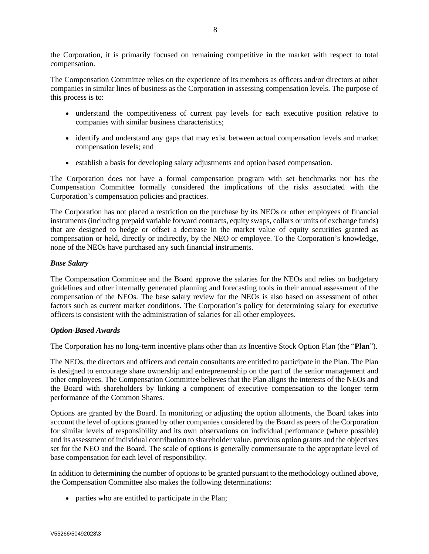the Corporation, it is primarily focused on remaining competitive in the market with respect to total compensation.

The Compensation Committee relies on the experience of its members as officers and/or directors at other companies in similar lines of business as the Corporation in assessing compensation levels. The purpose of this process is to:

- understand the competitiveness of current pay levels for each executive position relative to companies with similar business characteristics;
- identify and understand any gaps that may exist between actual compensation levels and market compensation levels; and
- establish a basis for developing salary adjustments and option based compensation.

The Corporation does not have a formal compensation program with set benchmarks nor has the Compensation Committee formally considered the implications of the risks associated with the Corporation's compensation policies and practices.

The Corporation has not placed a restriction on the purchase by its NEOs or other employees of financial instruments (including prepaid variable forward contracts, equity swaps, collars or units of exchange funds) that are designed to hedge or offset a decrease in the market value of equity securities granted as compensation or held, directly or indirectly, by the NEO or employee. To the Corporation's knowledge, none of the NEOs have purchased any such financial instruments.

# *Base Salary*

The Compensation Committee and the Board approve the salaries for the NEOs and relies on budgetary guidelines and other internally generated planning and forecasting tools in their annual assessment of the compensation of the NEOs. The base salary review for the NEOs is also based on assessment of other factors such as current market conditions. The Corporation's policy for determining salary for executive officers is consistent with the administration of salaries for all other employees.

#### *Option-Based Awards*

The Corporation has no long-term incentive plans other than its Incentive Stock Option Plan (the "**Plan**").

The NEOs, the directors and officers and certain consultants are entitled to participate in the Plan. The Plan is designed to encourage share ownership and entrepreneurship on the part of the senior management and other employees. The Compensation Committee believes that the Plan aligns the interests of the NEOs and the Board with shareholders by linking a component of executive compensation to the longer term performance of the Common Shares.

Options are granted by the Board. In monitoring or adjusting the option allotments, the Board takes into account the level of options granted by other companies considered by the Board as peers of the Corporation for similar levels of responsibility and its own observations on individual performance (where possible) and its assessment of individual contribution to shareholder value, previous option grants and the objectives set for the NEO and the Board. The scale of options is generally commensurate to the appropriate level of base compensation for each level of responsibility.

In addition to determining the number of options to be granted pursuant to the methodology outlined above, the Compensation Committee also makes the following determinations:

• parties who are entitled to participate in the Plan;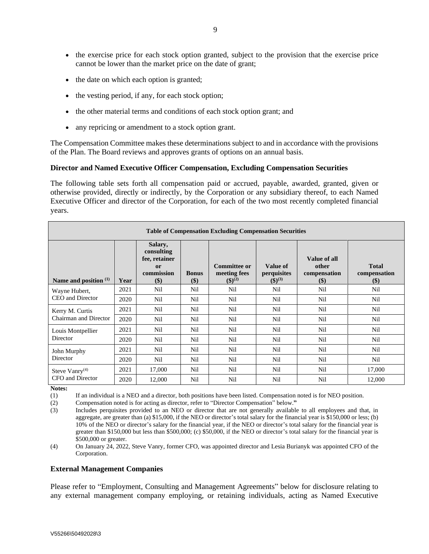- the exercise price for each stock option granted, subject to the provision that the exercise price cannot be lower than the market price on the date of grant;
- the date on which each option is granted;
- the vesting period, if any, for each stock option;
- the other material terms and conditions of each stock option grant; and
- any repricing or amendment to a stock option grant.

The Compensation Committee makes these determinations subject to and in accordance with the provisions of the Plan. The Board reviews and approves grants of options on an annual basis.

#### **Director and Named Executive Officer Compensation, Excluding Compensation Securities**

The following table sets forth all compensation paid or accrued, payable, awarded, granted, given or otherwise provided, directly or indirectly, by the Corporation or any subsidiary thereof, to each Named Executive Officer and director of the Corporation, for each of the two most recently completed financial years.

| <b>Table of Compensation Excluding Compensation Securities</b> |      |                                                                              |                         |                                                          |                                             |                                                 |                                     |
|----------------------------------------------------------------|------|------------------------------------------------------------------------------|-------------------------|----------------------------------------------------------|---------------------------------------------|-------------------------------------------------|-------------------------------------|
| Name and position $(1)$                                        | Year | Salary,<br>consulting<br>fee, retainer<br><sub>or</sub><br>commission<br>\$) | <b>Bonus</b><br>$($ \$) | <b>Committee or</b><br>meeting fees<br>$($ \$ $)(^{(2)}$ | Value of<br>perquisites<br>$($ \$ $)^{(3)}$ | Value of all<br>other<br>compensation<br>$(\$)$ | <b>Total</b><br>compensation<br>\$) |
| Wayne Hubert,                                                  | 2021 | Nil                                                                          | Nil                     | Nil                                                      | Nil                                         | Nil                                             | Nil                                 |
| CEO and Director                                               | 2020 | Nil                                                                          | Nil                     | Nil                                                      | Nil                                         | Nil                                             | Nil                                 |
| Kerry M. Curtis                                                | 2021 | Nil                                                                          | Nil                     | Nil                                                      | Nil                                         | Nil                                             | <b>Nil</b>                          |
| Chairman and Director                                          | 2020 | Nil                                                                          | Nil                     | Nil                                                      | Nil                                         | Nil                                             | Nil                                 |
| Louis Montpellier                                              | 2021 | Nil                                                                          | Nil                     | Nil                                                      | Nil                                         | Nil                                             | Nil                                 |
| Director                                                       | 2020 | Nil                                                                          | Nil                     | Nil                                                      | Nil                                         | Nil                                             | Nil                                 |
| John Murphy                                                    | 2021 | Nil                                                                          | Nil                     | Nil                                                      | Nil                                         | Nil                                             | Nil                                 |
| Director                                                       | 2020 | Nil                                                                          | Nil                     | Nil                                                      | Nil                                         | Nil                                             | Nil                                 |
| Steve $Vanry^{(4)}$                                            | 2021 | 17,000                                                                       | Nil                     | Nil                                                      | Nil                                         | Nil                                             | 17,000                              |
| CFO and Director                                               | 2020 | 12,000                                                                       | Nil                     | Nil                                                      | Nil                                         | Nil                                             | 12,000                              |

**Notes:**

(1) If an individual is a NEO and a director, both positions have been listed. Compensation noted is for NEO position.

(2) Compensation noted is for acting as director, refer to "Director Compensation" below.**"**

(3) Includes perquisites provided to an NEO or director that are not generally available to all employees and that, in aggregate, are greater than (a) \$15,000, if the NEO or director's total salary for the financial year is \$150,000 or less; (b) 10% of the NEO or director's salary for the financial year, if the NEO or director's total salary for the financial year is greater than \$150,000 but less than \$500,000; (c) \$50,000, if the NEO or director's total salary for the financial year is \$500,000 or greater.

(4) On January 24, 2022, Steve Vanry, former CFO, was appointed director and Lesia Burianyk was appointed CFO of the Corporation.

#### **External Management Companies**

Please refer to "Employment, Consulting and Management Agreements" below for disclosure relating to any external management company employing, or retaining individuals, acting as Named Executive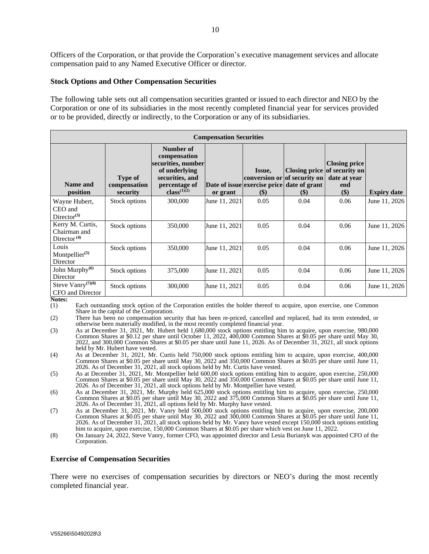Officers of the Corporation, or that provide the Corporation's executive management services and allocate compensation paid to any Named Executive Officer or director.

#### **Stock Options and Other Compensation Securities**

The following table sets out all compensation securities granted or issued to each director and NEO by the Corporation or one of its subsidiaries in the most recently completed financial year for services provided or to be provided, directly or indirectly, to the Corporation or any of its subsidiaries.

| <b>Compensation Securities</b>                      |                                            |                                                                                                                                              |               |                                                                                             |                     |                                                                                    |                    |
|-----------------------------------------------------|--------------------------------------------|----------------------------------------------------------------------------------------------------------------------------------------------|---------------|---------------------------------------------------------------------------------------------|---------------------|------------------------------------------------------------------------------------|--------------------|
| Name and<br>position                                | <b>Type of</b><br>compensation<br>security | Number of<br>compensation<br>securities, number<br>of underlying<br>securities, and<br>percentage of<br>class <sup><math>(1)(2)</math></sup> | or grant      | Issue,<br>conversion or of security on<br>Date of issue exercise price date of grant<br>\$) | $(\boldsymbol{\$})$ | <b>Closing price</b><br>Closing price of security on<br>date at year<br>end<br>\$) | <b>Expiry date</b> |
| Wayne Hubert,<br>CEO and<br>Director <sup>(3)</sup> | Stock options                              | 300,000                                                                                                                                      | June 11, 2021 | 0.05                                                                                        | 0.04                | 0.06                                                                               | June 11, 2026      |
| Kerry M. Curtis,<br>Chairman and<br>Director $(4)$  | Stock options                              | 350,000                                                                                                                                      | June 11, 2021 | 0.05                                                                                        | 0.04                | 0.06                                                                               | June 11, 2026      |
| Louis<br>Montpellier <sup>(5)</sup><br>Director     | Stock options                              | 350,000                                                                                                                                      | June 11, 2021 | 0.05                                                                                        | 0.04                | 0.06                                                                               | June 11, 2026      |
| John Murphy $(6)$<br>Director                       | Stock options                              | 375,000                                                                                                                                      | June 11, 2021 | 0.05                                                                                        | 0.04                | 0.06                                                                               | June 11, 2026      |
| Steve Vanry <sup>(7)(8)</sup><br>CFO and Director   | Stock options                              | 300,000                                                                                                                                      | June 11, 2021 | 0.05                                                                                        | 0.04                | 0.06                                                                               | June 11, 2026      |

**Notes:**<br>(1)

Each outstanding stock option of the Corporation entitles the holder thereof to acquire, upon exercise, one Common Share in the capital of the Corporation.

(2) There has been no compensation security that has been re-priced, cancelled and replaced, had its term extended, or otherwise been materially modified, in the most recently completed financial year.

(3) As at December 31, 2021, Mr. Hubert held 1,680,000 stock options entitling him to acquire, upon exercise, 980,000 Common Shares at \$0.12 per share until October 11, 2022, 400,000 Common Shares at \$0.05 per share until May 30, 2022, and 300,000 Common Shares at \$0.05 per share until June 11, 2026. As of December 31, 2021, all stock options held by Mr. Hubert have vested.

(4) As at December 31, 2021, Mr. Curtis held 750,000 stock options entitling him to acquire, upon exercise, 400,000 Common Shares at \$0.05 per share until May 30, 2022 and 350,000 Common Shares at \$0.05 per share until June 11, 2026. As of December 31, 2021, all stock options held by Mr. Curtis have vested.

(5) As at December 31, 2021, Mr. Montpellier held 600,00 stock options entitling him to acquire, upon exercise, 250,000 Common Shares at \$0.05 per share until May 30, 2022 and 350,000 Common Shares at \$0.05 per share until June 11, 2026. As of December 31, 2021, all stock options held by Mr. Montpellier have vested.

(6) As at December 31, 2021, Mr. Murphy held 625,000 stock options entitling him to acquire, upon exercise, 250,000 Common Shares at \$0.05 per share until May 30, 2022 and 375,000 Common Shares at \$0.05 per share until June 11, 2026. As of December 31, 2021, all options held by Mr. Murphy have vested.

(7) As at December 31, 2021, Mr. Vanry held 500,000 stock options entitling him to acquire, upon exercise, 200,000 Common Shares at \$0.05 per share until May 30, 2022 and 300,000 Common Shares at \$0.05 per share until June 11, 2026. As of December 31, 2021, all stock options held by Mr. Vanry have vested except 150,000 stock options entitling him to acquire, upon exercise, 150,000 Common Shares at \$0.05 per share which vest on June 11, 2022.

(8) On January 24, 2022, Steve Vanry, former CFO, was appointed director and Lesia Burianyk was appointed CFO of the Corporation.

#### **Exercise of Compensation Securities**

There were no exercises of compensation securities by directors or NEO's during the most recently completed financial year.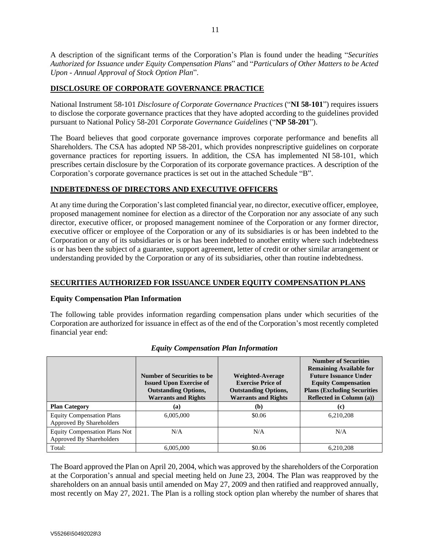A description of the significant terms of the Corporation's Plan is found under the heading "*Securities Authorized for Issuance under Equity Compensation Plans*" and "*Particulars of Other Matters to be Acted Upon - Annual Approval of Stock Option Plan*".

# **DISCLOSURE OF CORPORATE GOVERNANCE PRACTICE**

National Instrument 58-101 *Disclosure of Corporate Governance Practices* ("**NI 58-101**") requires issuers to disclose the corporate governance practices that they have adopted according to the guidelines provided pursuant to National Policy 58-201 *Corporate Governance Guidelines* ("**NP 58-201**").

The Board believes that good corporate governance improves corporate performance and benefits all Shareholders. The CSA has adopted NP 58-201, which provides nonprescriptive guidelines on corporate governance practices for reporting issuers. In addition, the CSA has implemented NI 58-101, which prescribes certain disclosure by the Corporation of its corporate governance practices. A description of the Corporation's corporate governance practices is set out in the attached Schedule "B".

# **INDEBTEDNESS OF DIRECTORS AND EXECUTIVE OFFICERS**

At any time during the Corporation'slast completed financial year, no director, executive officer, employee, proposed management nominee for election as a director of the Corporation nor any associate of any such director, executive officer, or proposed management nominee of the Corporation or any former director, executive officer or employee of the Corporation or any of its subsidiaries is or has been indebted to the Corporation or any of its subsidiaries or is or has been indebted to another entity where such indebtedness is or has been the subject of a guarantee, support agreement, letter of credit or other similar arrangement or understanding provided by the Corporation or any of its subsidiaries, other than routine indebtedness.

# **SECURITIES AUTHORIZED FOR ISSUANCE UNDER EQUITY COMPENSATION PLANS**

#### **Equity Compensation Plan Information**

The following table provides information regarding compensation plans under which securities of the Corporation are authorized for issuance in effect as of the end of the Corporation's most recently completed financial year end:

|                                                                  | Number of Securities to be<br><b>Issued Upon Exercise of</b><br><b>Outstanding Options,</b><br><b>Warrants and Rights</b> | <b>Weighted-Average</b><br><b>Exercise Price of</b><br><b>Outstanding Options,</b><br><b>Warrants and Rights</b> | <b>Number of Securities</b><br><b>Remaining Available for</b><br><b>Future Issuance Under</b><br><b>Equity Compensation</b><br><b>Plans (Excluding Securities)</b><br>Reflected in Column (a)) |
|------------------------------------------------------------------|---------------------------------------------------------------------------------------------------------------------------|------------------------------------------------------------------------------------------------------------------|------------------------------------------------------------------------------------------------------------------------------------------------------------------------------------------------|
| <b>Plan Category</b>                                             | (a)                                                                                                                       | (b)                                                                                                              | (c)                                                                                                                                                                                            |
| <b>Equity Compensation Plans</b><br>Approved By Shareholders     | 6.005.000                                                                                                                 | \$0.06                                                                                                           | 6,210,208                                                                                                                                                                                      |
| <b>Equity Compensation Plans Not</b><br>Approved By Shareholders | N/A                                                                                                                       | N/A                                                                                                              | N/A                                                                                                                                                                                            |
| Total:                                                           | 6.005.000                                                                                                                 | \$0.06                                                                                                           | 6.210.208                                                                                                                                                                                      |

# *Equity Compensation Plan Information*

The Board approved the Plan on April 20, 2004, which was approved by the shareholders of the Corporation at the Corporation's annual and special meeting held on June 23, 2004. The Plan was reapproved by the shareholders on an annual basis until amended on May 27, 2009 and then ratified and reapproved annually, most recently on May 27, 2021. The Plan is a rolling stock option plan whereby the number of shares that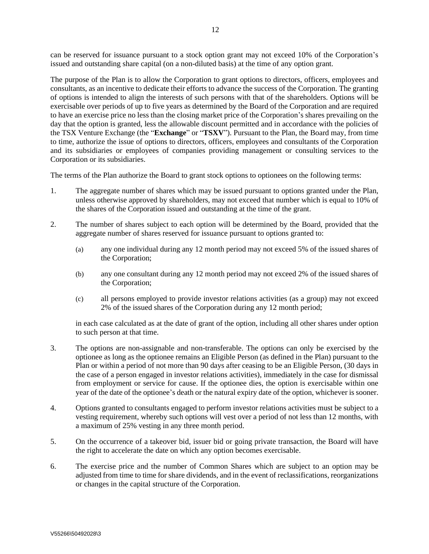can be reserved for issuance pursuant to a stock option grant may not exceed 10% of the Corporation's issued and outstanding share capital (on a non-diluted basis) at the time of any option grant.

The purpose of the Plan is to allow the Corporation to grant options to directors, officers, employees and consultants, as an incentive to dedicate their efforts to advance the success of the Corporation. The granting of options is intended to align the interests of such persons with that of the shareholders. Options will be exercisable over periods of up to five years as determined by the Board of the Corporation and are required to have an exercise price no less than the closing market price of the Corporation's shares prevailing on the day that the option is granted, less the allowable discount permitted and in accordance with the policies of the TSX Venture Exchange (the "**Exchange**" or "**TSXV**"). Pursuant to the Plan, the Board may, from time to time, authorize the issue of options to directors, officers, employees and consultants of the Corporation and its subsidiaries or employees of companies providing management or consulting services to the Corporation or its subsidiaries.

The terms of the Plan authorize the Board to grant stock options to optionees on the following terms:

- 1. The aggregate number of shares which may be issued pursuant to options granted under the Plan, unless otherwise approved by shareholders, may not exceed that number which is equal to 10% of the shares of the Corporation issued and outstanding at the time of the grant.
- 2. The number of shares subject to each option will be determined by the Board, provided that the aggregate number of shares reserved for issuance pursuant to options granted to:
	- (a) any one individual during any 12 month period may not exceed 5% of the issued shares of the Corporation;
	- (b) any one consultant during any 12 month period may not exceed 2% of the issued shares of the Corporation;
	- (c) all persons employed to provide investor relations activities (as a group) may not exceed 2% of the issued shares of the Corporation during any 12 month period;

in each case calculated as at the date of grant of the option, including all other shares under option to such person at that time.

- 3. The options are non-assignable and non-transferable. The options can only be exercised by the optionee as long as the optionee remains an Eligible Person (as defined in the Plan) pursuant to the Plan or within a period of not more than 90 days after ceasing to be an Eligible Person, (30 days in the case of a person engaged in investor relations activities), immediately in the case for dismissal from employment or service for cause. If the optionee dies, the option is exercisable within one year of the date of the optionee's death or the natural expiry date of the option, whichever is sooner.
- 4. Options granted to consultants engaged to perform investor relations activities must be subject to a vesting requirement, whereby such options will vest over a period of not less than 12 months, with a maximum of 25% vesting in any three month period.
- 5. On the occurrence of a takeover bid, issuer bid or going private transaction, the Board will have the right to accelerate the date on which any option becomes exercisable.
- 6. The exercise price and the number of Common Shares which are subject to an option may be adjusted from time to time for share dividends, and in the event of reclassifications, reorganizations or changes in the capital structure of the Corporation.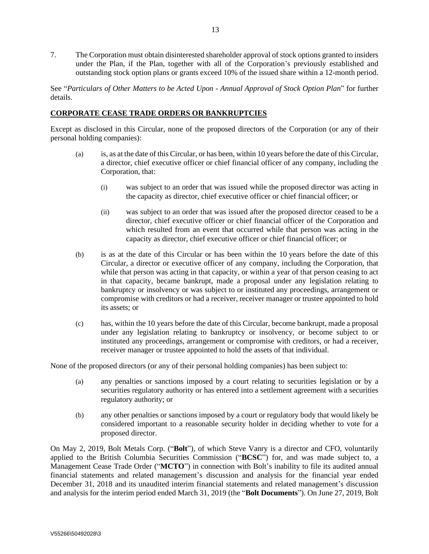7. The Corporation must obtain disinterested shareholder approval of stock options granted to insiders under the Plan, if the Plan, together with all of the Corporation's previously established and outstanding stock option plans or grants exceed 10% of the issued share within a 12-month period.

See "*Particulars of Other Matters to be Acted Upon - Annual Approval of Stock Option Plan*" for further details.

# **CORPORATE CEASE TRADE ORDERS OR BANKRUPTCIES**

Except as disclosed in this Circular, none of the proposed directors of the Corporation (or any of their personal holding companies):

- (a) is, as at the date of this Circular, or has been, within 10 years before the date of this Circular, a director, chief executive officer or chief financial officer of any company, including the Corporation, that:
	- (i) was subject to an order that was issued while the proposed director was acting in the capacity as director, chief executive officer or chief financial officer; or
	- (ii) was subject to an order that was issued after the proposed director ceased to be a director, chief executive officer or chief financial officer of the Corporation and which resulted from an event that occurred while that person was acting in the capacity as director, chief executive officer or chief financial officer; or
- (b) is as at the date of this Circular or has been within the 10 years before the date of this Circular, a director or executive officer of any company, including the Corporation, that while that person was acting in that capacity, or within a year of that person ceasing to act in that capacity, became bankrupt, made a proposal under any legislation relating to bankruptcy or insolvency or was subject to or instituted any proceedings, arrangement or compromise with creditors or had a receiver, receiver manager or trustee appointed to hold its assets; or
- (c) has, within the 10 years before the date of this Circular, become bankrupt, made a proposal under any legislation relating to bankruptcy or insolvency, or become subject to or instituted any proceedings, arrangement or compromise with creditors, or had a receiver, receiver manager or trustee appointed to hold the assets of that individual.

None of the proposed directors (or any of their personal holding companies) has been subject to:

- (a) any penalties or sanctions imposed by a court relating to securities legislation or by a securities regulatory authority or has entered into a settlement agreement with a securities regulatory authority; or
- (b) any other penalties or sanctions imposed by a court or regulatory body that would likely be considered important to a reasonable security holder in deciding whether to vote for a proposed director.

On May 2, 2019, Bolt Metals Corp. ("**Bolt**"), of which Steve Vanry is a director and CFO, voluntarily applied to the British Columbia Securities Commission ("**BCSC**") for, and was made subject to, a Management Cease Trade Order ("**MCTO**") in connection with Bolt's inability to file its audited annual financial statements and related management's discussion and analysis for the financial year ended December 31, 2018 and its unaudited interim financial statements and related management's discussion and analysis for the interim period ended March 31, 2019 (the "**Bolt Documents**"). On June 27, 2019, Bolt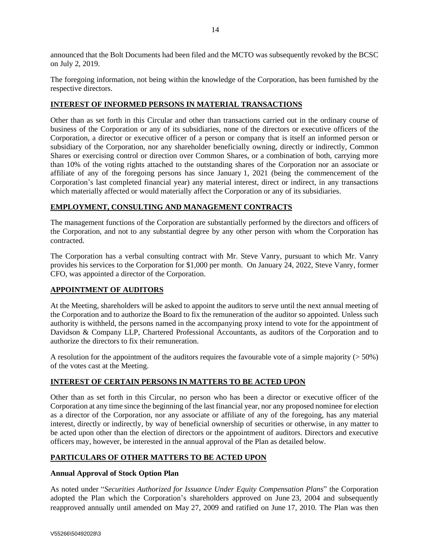announced that the Bolt Documents had been filed and the MCTO was subsequently revoked by the BCSC on July 2, 2019.

The foregoing information, not being within the knowledge of the Corporation, has been furnished by the respective directors.

# **INTEREST OF INFORMED PERSONS IN MATERIAL TRANSACTIONS**

Other than as set forth in this Circular and other than transactions carried out in the ordinary course of business of the Corporation or any of its subsidiaries, none of the directors or executive officers of the Corporation, a director or executive officer of a person or company that is itself an informed person or subsidiary of the Corporation, nor any shareholder beneficially owning, directly or indirectly, Common Shares or exercising control or direction over Common Shares, or a combination of both, carrying more than 10% of the voting rights attached to the outstanding shares of the Corporation nor an associate or affiliate of any of the foregoing persons has since January 1, 2021 (being the commencement of the Corporation's last completed financial year) any material interest, direct or indirect, in any transactions which materially affected or would materially affect the Corporation or any of its subsidiaries.

# **EMPLOYMENT, CONSULTING AND MANAGEMENT CONTRACTS**

The management functions of the Corporation are substantially performed by the directors and officers of the Corporation, and not to any substantial degree by any other person with whom the Corporation has contracted.

The Corporation has a verbal consulting contract with Mr. Steve Vanry, pursuant to which Mr. Vanry provides his services to the Corporation for \$1,000 per month. On January 24, 2022, Steve Vanry, former CFO, was appointed a director of the Corporation.

# **APPOINTMENT OF AUDITORS**

At the Meeting, shareholders will be asked to appoint the auditors to serve until the next annual meeting of the Corporation and to authorize the Board to fix the remuneration of the auditor so appointed. Unless such authority is withheld, the persons named in the accompanying proxy intend to vote for the appointment of Davidson & Company LLP, Chartered Professional Accountants, as auditors of the Corporation and to authorize the directors to fix their remuneration.

A resolution for the appointment of the auditors requires the favourable vote of a simple majority  $(>50\%)$ of the votes cast at the Meeting.

# **INTEREST OF CERTAIN PERSONS IN MATTERS TO BE ACTED UPON**

Other than as set forth in this Circular, no person who has been a director or executive officer of the Corporation at any time since the beginning of the last financial year, nor any proposed nominee for election as a director of the Corporation, nor any associate or affiliate of any of the foregoing, has any material interest, directly or indirectly, by way of beneficial ownership of securities or otherwise, in any matter to be acted upon other than the election of directors or the appointment of auditors. Directors and executive officers may, however, be interested in the annual approval of the Plan as detailed below.

# **PARTICULARS OF OTHER MATTERS TO BE ACTED UPON**

#### **Annual Approval of Stock Option Plan**

As noted under "*Securities Authorized for Issuance Under Equity Compensation Plans*" the Corporation adopted the Plan which the Corporation's shareholders approved on June 23, 2004 and subsequently reapproved annually until amended on May 27, 2009 and ratified on June 17, 2010. The Plan was then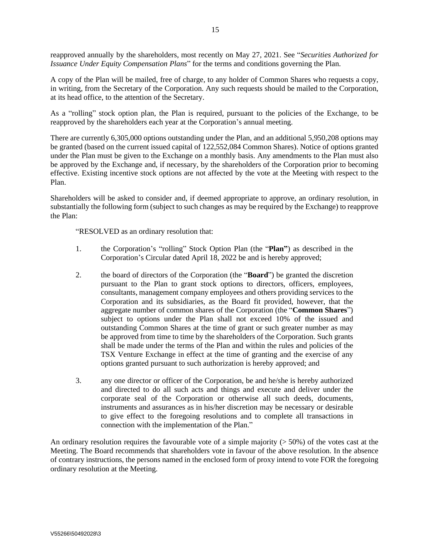reapproved annually by the shareholders, most recently on May 27, 2021. See "*Securities Authorized for Issuance Under Equity Compensation Plans*" for the terms and conditions governing the Plan.

A copy of the Plan will be mailed, free of charge, to any holder of Common Shares who requests a copy, in writing, from the Secretary of the Corporation. Any such requests should be mailed to the Corporation, at its head office, to the attention of the Secretary.

As a "rolling" stock option plan, the Plan is required, pursuant to the policies of the Exchange, to be reapproved by the shareholders each year at the Corporation's annual meeting.

There are currently 6,305,000 options outstanding under the Plan, and an additional 5,950,208 options may be granted (based on the current issued capital of 122,552,084 Common Shares). Notice of options granted under the Plan must be given to the Exchange on a monthly basis. Any amendments to the Plan must also be approved by the Exchange and, if necessary, by the shareholders of the Corporation prior to becoming effective. Existing incentive stock options are not affected by the vote at the Meeting with respect to the Plan.

Shareholders will be asked to consider and, if deemed appropriate to approve, an ordinary resolution, in substantially the following form (subject to such changes as may be required by the Exchange) to reapprove the Plan:

"RESOLVED as an ordinary resolution that:

- 1. the Corporation's "rolling" Stock Option Plan (the "**Plan"**) as described in the Corporation's Circular dated April 18, 2022 be and is hereby approved;
- 2. the board of directors of the Corporation (the "**Board**") be granted the discretion pursuant to the Plan to grant stock options to directors, officers, employees, consultants, management company employees and others providing services to the Corporation and its subsidiaries, as the Board fit provided, however, that the aggregate number of common shares of the Corporation (the "**Common Shares**") subject to options under the Plan shall not exceed 10% of the issued and outstanding Common Shares at the time of grant or such greater number as may be approved from time to time by the shareholders of the Corporation. Such grants shall be made under the terms of the Plan and within the rules and policies of the TSX Venture Exchange in effect at the time of granting and the exercise of any options granted pursuant to such authorization is hereby approved; and
- 3. any one director or officer of the Corporation, be and he/she is hereby authorized and directed to do all such acts and things and execute and deliver under the corporate seal of the Corporation or otherwise all such deeds, documents, instruments and assurances as in his/her discretion may be necessary or desirable to give effect to the foregoing resolutions and to complete all transactions in connection with the implementation of the Plan."

An ordinary resolution requires the favourable vote of a simple majority ( $>$  50%) of the votes cast at the Meeting. The Board recommends that shareholders vote in favour of the above resolution. In the absence of contrary instructions, the persons named in the enclosed form of proxy intend to vote FOR the foregoing ordinary resolution at the Meeting.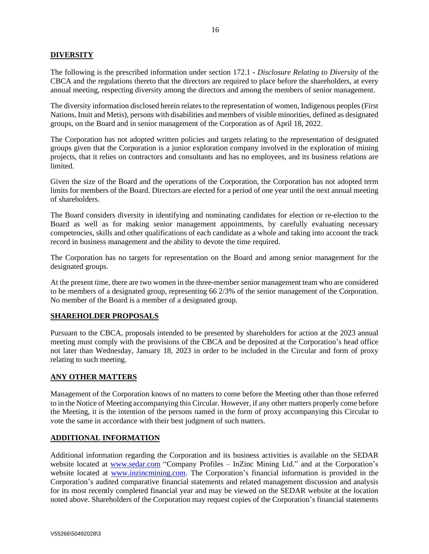# **DIVERSITY**

The following is the prescribed information under section 172.1 - *Disclosure Relating to Diversity* of the CBCA and the regulations thereto that the directors are required to place before the shareholders, at every annual meeting, respecting diversity among the directors and among the members of senior management.

The diversity information disclosed herein relates to the representation of women, Indigenous peoples (First Nations, Inuit and Metis), persons with disabilities and members of visible minorities, defined as designated groups, on the Board and in senior management of the Corporation as of April 18, 2022.

The Corporation has not adopted written policies and targets relating to the representation of designated groups given that the Corporation is a junior exploration company involved in the exploration of mining projects, that it relies on contractors and consultants and has no employees, and its business relations are limited.

Given the size of the Board and the operations of the Corporation, the Corporation has not adopted term limits for members of the Board. Directors are elected for a period of one year until the next annual meeting of shareholders.

The Board considers diversity in identifying and nominating candidates for election or re-election to the Board as well as for making senior management appointments, by carefully evaluating necessary competencies, skills and other qualifications of each candidate as a whole and taking into account the track record in business management and the ability to devote the time required.

The Corporation has no targets for representation on the Board and among senior management for the designated groups.

At the present time, there are two women in the three-member senior management team who are considered to be members of a designated group, representing 66 2/3% of the senior management of the Corporation. No member of the Board is a member of a designated group.

#### **SHAREHOLDER PROPOSALS**

Pursuant to the CBCA, proposals intended to be presented by shareholders for action at the 2023 annual meeting must comply with the provisions of the CBCA and be deposited at the Corporation's head office not later than Wednesday, January 18, 2023 in order to be included in the Circular and form of proxy relating to such meeting.

# **ANY OTHER MATTERS**

Management of the Corporation knows of no matters to come before the Meeting other than those referred to in the Notice of Meeting accompanying this Circular. However, if any other matters properly come before the Meeting, it is the intention of the persons named in the form of proxy accompanying this Circular to vote the same in accordance with their best judgment of such matters.

# **ADDITIONAL INFORMATION**

Additional information regarding the Corporation and its business activities is available on the SEDAR website located at [www.sedar.com](http://www.sedar.com/) "Company Profiles – InZinc Mining Ltd." and at the Corporation's website located at [www.inzincmining.com.](http://www.inzincmining.com/) The Corporation's financial information is provided in the Corporation's audited comparative financial statements and related management discussion and analysis for its most recently completed financial year and may be viewed on the SEDAR website at the location noted above. Shareholders of the Corporation may request copies of the Corporation's financial statements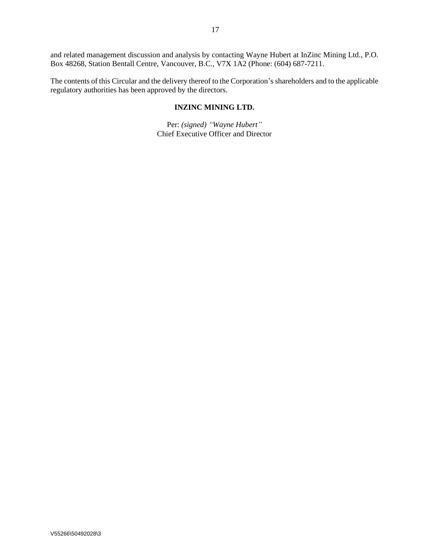and related management discussion and analysis by contacting Wayne Hubert at InZinc Mining Ltd., P.O. Box 48268, Station Bentall Centre, Vancouver, B.C., V7X 1A2 (Phone: (604) 687-7211.

The contents of this Circular and the delivery thereof to the Corporation's shareholders and to the applicable regulatory authorities has been approved by the directors.

#### **INZINC MINING LTD.**

Per: *(signed) "Wayne Hubert"* Chief Executive Officer and Director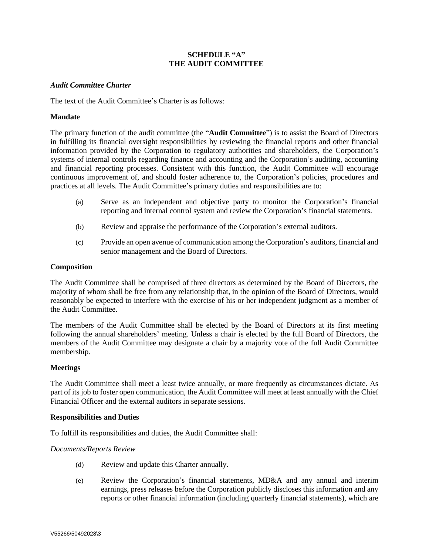# **SCHEDULE "A" THE AUDIT COMMITTEE**

#### *Audit Committee Charter*

The text of the Audit Committee's Charter is as follows:

#### **Mandate**

The primary function of the audit committee (the "**Audit Committee**") is to assist the Board of Directors in fulfilling its financial oversight responsibilities by reviewing the financial reports and other financial information provided by the Corporation to regulatory authorities and shareholders, the Corporation's systems of internal controls regarding finance and accounting and the Corporation's auditing, accounting and financial reporting processes. Consistent with this function, the Audit Committee will encourage continuous improvement of, and should foster adherence to, the Corporation's policies, procedures and practices at all levels. The Audit Committee's primary duties and responsibilities are to:

- (a) Serve as an independent and objective party to monitor the Corporation's financial reporting and internal control system and review the Corporation's financial statements.
- (b) Review and appraise the performance of the Corporation's external auditors.
- (c) Provide an open avenue of communication among the Corporation's auditors, financial and senior management and the Board of Directors.

#### **Composition**

The Audit Committee shall be comprised of three directors as determined by the Board of Directors, the majority of whom shall be free from any relationship that, in the opinion of the Board of Directors, would reasonably be expected to interfere with the exercise of his or her independent judgment as a member of the Audit Committee.

The members of the Audit Committee shall be elected by the Board of Directors at its first meeting following the annual shareholders' meeting. Unless a chair is elected by the full Board of Directors, the members of the Audit Committee may designate a chair by a majority vote of the full Audit Committee membership.

#### **Meetings**

The Audit Committee shall meet a least twice annually, or more frequently as circumstances dictate. As part of its job to foster open communication, the Audit Committee will meet at least annually with the Chief Financial Officer and the external auditors in separate sessions.

#### **Responsibilities and Duties**

To fulfill its responsibilities and duties, the Audit Committee shall:

#### *Documents/Reports Review*

- (d) Review and update this Charter annually.
- (e) Review the Corporation's financial statements, MD&A and any annual and interim earnings, press releases before the Corporation publicly discloses this information and any reports or other financial information (including quarterly financial statements), which are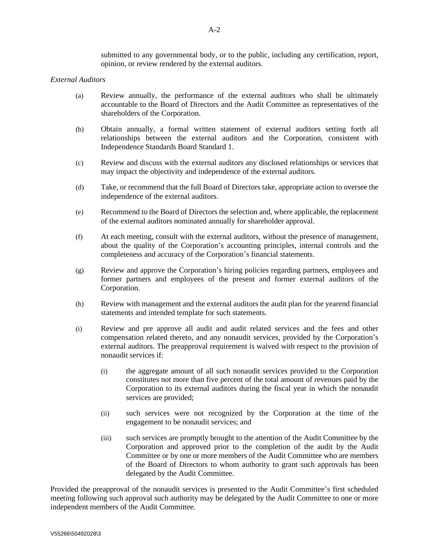submitted to any governmental body, or to the public, including any certification, report, opinion, or review rendered by the external auditors.

#### *External Auditors*

- (a) Review annually, the performance of the external auditors who shall be ultimately accountable to the Board of Directors and the Audit Committee as representatives of the shareholders of the Corporation.
- (b) Obtain annually, a formal written statement of external auditors setting forth all relationships between the external auditors and the Corporation, consistent with Independence Standards Board Standard 1.
- (c) Review and discuss with the external auditors any disclosed relationships or services that may impact the objectivity and independence of the external auditors.
- (d) Take, or recommend that the full Board of Directors take, appropriate action to oversee the independence of the external auditors.
- (e) Recommend to the Board of Directors the selection and, where applicable, the replacement of the external auditors nominated annually for shareholder approval.
- (f) At each meeting, consult with the external auditors, without the presence of management, about the quality of the Corporation's accounting principles, internal controls and the completeness and accuracy of the Corporation's financial statements.
- (g) Review and approve the Corporation's hiring policies regarding partners, employees and former partners and employees of the present and former external auditors of the Corporation.
- (h) Review with management and the external auditors the audit plan for the yearend financial statements and intended template for such statements.
- (i) Review and pre approve all audit and audit related services and the fees and other compensation related thereto, and any nonaudit services, provided by the Corporation's external auditors. The preapproval requirement is waived with respect to the provision of nonaudit services if:
	- (i) the aggregate amount of all such nonaudit services provided to the Corporation constitutes not more than five percent of the total amount of revenues paid by the Corporation to its external auditors during the fiscal year in which the nonaudit services are provided;
	- (ii) such services were not recognized by the Corporation at the time of the engagement to be nonaudit services; and
	- (iii) such services are promptly brought to the attention of the Audit Committee by the Corporation and approved prior to the completion of the audit by the Audit Committee or by one or more members of the Audit Committee who are members of the Board of Directors to whom authority to grant such approvals has been delegated by the Audit Committee.

Provided the preapproval of the nonaudit services is presented to the Audit Committee's first scheduled meeting following such approval such authority may be delegated by the Audit Committee to one or more independent members of the Audit Committee.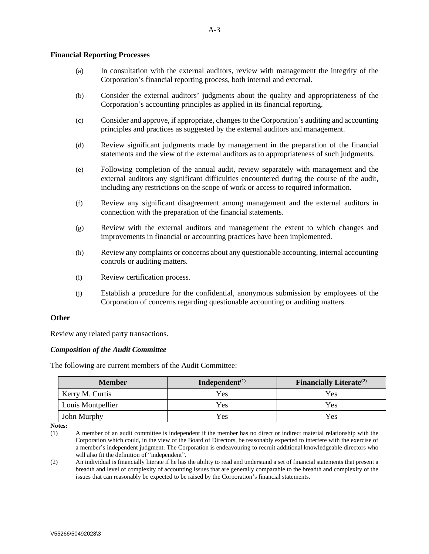#### **Financial Reporting Processes**

- (a) In consultation with the external auditors, review with management the integrity of the Corporation's financial reporting process, both internal and external.
- (b) Consider the external auditors' judgments about the quality and appropriateness of the Corporation's accounting principles as applied in its financial reporting.
- (c) Consider and approve, if appropriate, changes to the Corporation's auditing and accounting principles and practices as suggested by the external auditors and management.
- (d) Review significant judgments made by management in the preparation of the financial statements and the view of the external auditors as to appropriateness of such judgments.
- (e) Following completion of the annual audit, review separately with management and the external auditors any significant difficulties encountered during the course of the audit, including any restrictions on the scope of work or access to required information.
- (f) Review any significant disagreement among management and the external auditors in connection with the preparation of the financial statements.
- (g) Review with the external auditors and management the extent to which changes and improvements in financial or accounting practices have been implemented.
- (h) Review any complaints or concerns about any questionable accounting, internal accounting controls or auditing matters.
- (i) Review certification process.
- (j) Establish a procedure for the confidential, anonymous submission by employees of the Corporation of concerns regarding questionable accounting or auditing matters.

#### **Other**

Review any related party transactions.

#### *Composition of the Audit Committee*

The following are current members of the Audit Committee:

| <b>Member</b>     | Independent $(1)$ | Financially Literate <sup>(2)</sup> |
|-------------------|-------------------|-------------------------------------|
| Kerry M. Curtis   | Yes               | Yes                                 |
| Louis Montpellier | Yes               | Yes                                 |
| John Murphy       | Yes               | Yes                                 |

**Notes:**

(1) A member of an audit committee is independent if the member has no direct or indirect material relationship with the Corporation which could, in the view of the Board of Directors, be reasonably expected to interfere with the exercise of a member's independent judgment. The Corporation is endeavouring to recruit additional knowledgeable directors who will also fit the definition of "independent".

(2) An individual is financially literate if he has the ability to read and understand a set of financial statements that present a breadth and level of complexity of accounting issues that are generally comparable to the breadth and complexity of the issues that can reasonably be expected to be raised by the Corporation's financial statements.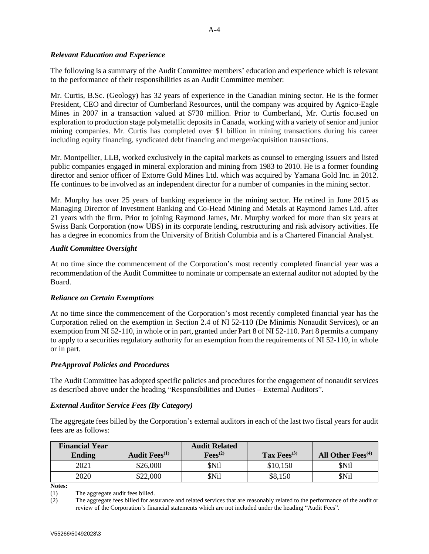# *Relevant Education and Experience*

The following is a summary of the Audit Committee members' education and experience which is relevant to the performance of their responsibilities as an Audit Committee member:

Mr. Curtis, B.Sc. (Geology) has 32 years of experience in the Canadian mining sector. He is the former President, CEO and director of Cumberland Resources, until the company was acquired by Agnico-Eagle Mines in 2007 in a transaction valued at \$730 million. Prior to Cumberland, Mr. Curtis focused on exploration to production stage polymetallic deposits in Canada, working with a variety of senior and junior mining companies. Mr. Curtis has completed over \$1 billion in mining transactions during his career including equity financing, syndicated debt financing and merger/acquisition transactions.

Mr. Montpellier, LLB, worked exclusively in the capital markets as counsel to emerging issuers and listed public companies engaged in mineral exploration and mining from 1983 to 2010. He is a former founding director and senior officer of Extorre Gold Mines Ltd. which was acquired by Yamana Gold Inc. in 2012. He continues to be involved as an independent director for a number of companies in the mining sector.

Mr. Murphy has over 25 years of banking experience in the mining sector. He retired in June 2015 as Managing Director of Investment Banking and Co-Head Mining and Metals at Raymond James Ltd. after 21 years with the firm. Prior to joining Raymond James, Mr. Murphy worked for more than six years at Swiss Bank Corporation (now UBS) in its corporate lending, restructuring and risk advisory activities. He has a degree in economics from the University of British Columbia and is a Chartered Financial Analyst.

# *Audit Committee Oversight*

At no time since the commencement of the Corporation's most recently completed financial year was a recommendation of the Audit Committee to nominate or compensate an external auditor not adopted by the Board.

# *Reliance on Certain Exemptions*

At no time since the commencement of the Corporation's most recently completed financial year has the Corporation relied on the exemption in Section 2.4 of NI 52-110 (De Minimis Nonaudit Services), or an exemption from NI 52-110, in whole or in part, granted under Part 8 of NI 52-110. Part 8 permits a company to apply to a securities regulatory authority for an exemption from the requirements of NI 52-110, in whole or in part.

#### *PreApproval Policies and Procedures*

The Audit Committee has adopted specific policies and procedures for the engagement of nonaudit services as described above under the heading "Responsibilities and Duties – External Auditors".

#### *External Auditor Service Fees (By Category)*

The aggregate fees billed by the Corporation's external auditors in each of the last two fiscal years for audit fees are as follows:

| <b>Financial Year</b><br><b>Ending</b> | Audit Fees <sup>(1)</sup> | <b>Audit Related</b><br>$\text{Fees}^{(2)}$ | Tax $Fees^{(3)}$ | All Other Fees <sup>(4)</sup> |
|----------------------------------------|---------------------------|---------------------------------------------|------------------|-------------------------------|
| 2021                                   | \$26,000                  | \$Nil                                       | \$10,150         | \$Nil                         |
| 2020                                   | \$22,000                  | \$Nil                                       | \$8,150          | <b>SNil</b>                   |
| $\blacksquare$                         |                           |                                             |                  |                               |

**Notes:**

(1) The aggregate audit fees billed.

<sup>(2)</sup> The aggregate fees billed for assurance and related services that are reasonably related to the performance of the audit or review of the Corporation's financial statements which are not included under the heading "Audit Fees".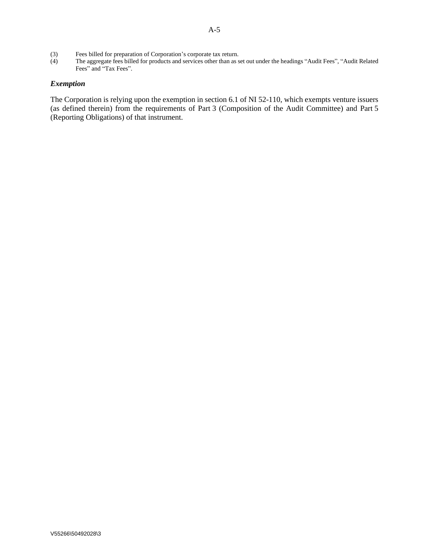- (3) Fees billed for preparation of Corporation's corporate tax return.<br>
(4) The aggregate fees billed for products and services other than as service
- The aggregate fees billed for products and services other than as set out under the headings "Audit Fees", "Audit Related Fees" and "Tax Fees".

# *Exemption*

The Corporation is relying upon the exemption in section 6.1 of NI 52-110, which exempts venture issuers (as defined therein) from the requirements of Part 3 (Composition of the Audit Committee) and Part 5 (Reporting Obligations) of that instrument.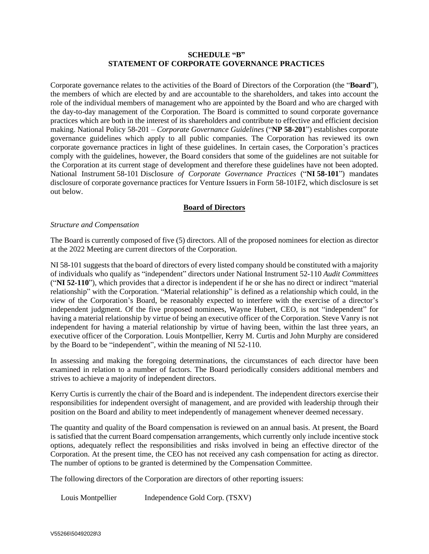# **SCHEDULE "B" STATEMENT OF CORPORATE GOVERNANCE PRACTICES**

Corporate governance relates to the activities of the Board of Directors of the Corporation (the "**Board**"), the members of which are elected by and are accountable to the shareholders, and takes into account the role of the individual members of management who are appointed by the Board and who are charged with the day-to-day management of the Corporation. The Board is committed to sound corporate governance practices which are both in the interest of its shareholders and contribute to effective and efficient decision making. National Policy 58-201 – *Corporate Governance Guidelines* ("**NP 58-201**") establishes corporate governance guidelines which apply to all public companies. The Corporation has reviewed its own corporate governance practices in light of these guidelines. In certain cases, the Corporation's practices comply with the guidelines, however, the Board considers that some of the guidelines are not suitable for the Corporation at its current stage of development and therefore these guidelines have not been adopted. National Instrument 58-101 Disclosure *of Corporate Governance Practices* ("**NI 58-101**") mandates disclosure of corporate governance practices for Venture Issuers in Form 58-101F2, which disclosure is set out below.

# **Board of Directors**

# *Structure and Compensation*

The Board is currently composed of five (5) directors. All of the proposed nominees for election as director at the 2022 Meeting are current directors of the Corporation.

NI 58-101 suggests that the board of directors of every listed company should be constituted with a majority of individuals who qualify as "independent" directors under National Instrument 52-110 *Audit Committees* ("**NI 52-110**"), which provides that a director is independent if he or she has no direct or indirect "material relationship" with the Corporation. "Material relationship" is defined as a relationship which could, in the view of the Corporation's Board, be reasonably expected to interfere with the exercise of a director's independent judgment. Of the five proposed nominees, Wayne Hubert, CEO, is not "independent" for having a material relationship by virtue of being an executive officer of the Corporation. Steve Vanry is not independent for having a material relationship by virtue of having been, within the last three years, an executive officer of the Corporation. Louis Montpellier, Kerry M. Curtis and John Murphy are considered by the Board to be "independent", within the meaning of NI 52-110.

In assessing and making the foregoing determinations, the circumstances of each director have been examined in relation to a number of factors. The Board periodically considers additional members and strives to achieve a majority of independent directors.

Kerry Curtis is currently the chair of the Board and is independent. The independent directors exercise their responsibilities for independent oversight of management, and are provided with leadership through their position on the Board and ability to meet independently of management whenever deemed necessary.

The quantity and quality of the Board compensation is reviewed on an annual basis. At present, the Board is satisfied that the current Board compensation arrangements, which currently only include incentive stock options, adequately reflect the responsibilities and risks involved in being an effective director of the Corporation. At the present time, the CEO has not received any cash compensation for acting as director. The number of options to be granted is determined by the Compensation Committee.

The following directors of the Corporation are directors of other reporting issuers:

Louis Montpellier Independence Gold Corp. (TSXV)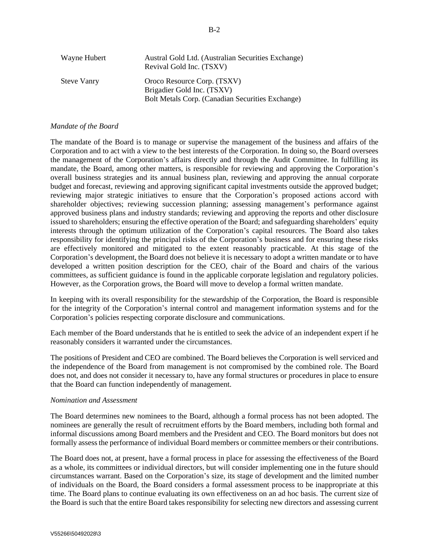| Wayne Hubert       | Austral Gold Ltd. (Australian Securities Exchange)<br>Revival Gold Inc. (TSXV) |
|--------------------|--------------------------------------------------------------------------------|
| <b>Steve Vanry</b> | Oroco Resource Corp. (TSXV)<br>Brigadier Gold Inc. (TSXV)                      |
|                    | Bolt Metals Corp. (Canadian Securities Exchange)                               |

#### *Mandate of the Board*

The mandate of the Board is to manage or supervise the management of the business and affairs of the Corporation and to act with a view to the best interests of the Corporation. In doing so, the Board oversees the management of the Corporation's affairs directly and through the Audit Committee. In fulfilling its mandate, the Board, among other matters, is responsible for reviewing and approving the Corporation's overall business strategies and its annual business plan, reviewing and approving the annual corporate budget and forecast, reviewing and approving significant capital investments outside the approved budget; reviewing major strategic initiatives to ensure that the Corporation's proposed actions accord with shareholder objectives; reviewing succession planning; assessing management's performance against approved business plans and industry standards; reviewing and approving the reports and other disclosure issued to shareholders; ensuring the effective operation of the Board; and safeguarding shareholders' equity interests through the optimum utilization of the Corporation's capital resources. The Board also takes responsibility for identifying the principal risks of the Corporation's business and for ensuring these risks are effectively monitored and mitigated to the extent reasonably practicable. At this stage of the Corporation's development, the Board does not believe it is necessary to adopt a written mandate or to have developed a written position description for the CEO, chair of the Board and chairs of the various committees, as sufficient guidance is found in the applicable corporate legislation and regulatory policies. However, as the Corporation grows, the Board will move to develop a formal written mandate.

In keeping with its overall responsibility for the stewardship of the Corporation, the Board is responsible for the integrity of the Corporation's internal control and management information systems and for the Corporation's policies respecting corporate disclosure and communications.

Each member of the Board understands that he is entitled to seek the advice of an independent expert if he reasonably considers it warranted under the circumstances.

The positions of President and CEO are combined. The Board believes the Corporation is well serviced and the independence of the Board from management is not compromised by the combined role. The Board does not, and does not consider it necessary to, have any formal structures or procedures in place to ensure that the Board can function independently of management.

#### *Nomination and Assessment*

The Board determines new nominees to the Board, although a formal process has not been adopted. The nominees are generally the result of recruitment efforts by the Board members, including both formal and informal discussions among Board members and the President and CEO. The Board monitors but does not formally assessthe performance of individual Board members or committee members or their contributions.

The Board does not, at present, have a formal process in place for assessing the effectiveness of the Board as a whole, its committees or individual directors, but will consider implementing one in the future should circumstances warrant. Based on the Corporation's size, its stage of development and the limited number of individuals on the Board, the Board considers a formal assessment process to be inappropriate at this time. The Board plans to continue evaluating its own effectiveness on an ad hoc basis. The current size of the Board is such that the entire Board takes responsibility for selecting new directors and assessing current